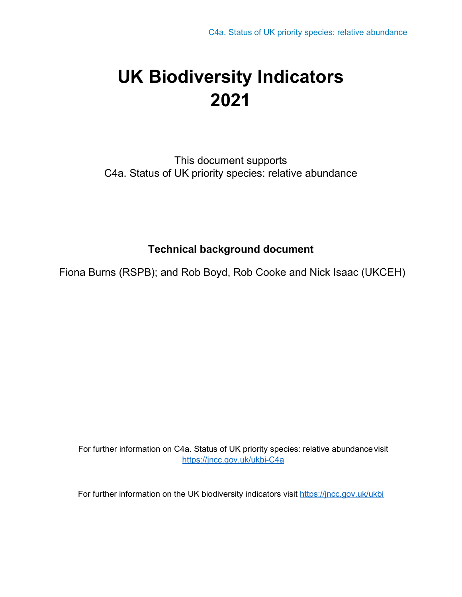# **UK Biodiversity Indicators 2021**

This document supports C4a. Status of UK priority species: relative abundance

## **Technical background document**

Fiona Burns (RSPB); and Rob Boyd, Rob Cooke and Nick Isaac (UKCEH)

For further information on C4a. Status of UK priority species: relative abundancevisit <https://jncc.gov.uk/ukbi-C4a>

For further information on the UK biodiversity indicators visit<https://jncc.gov.uk/ukbi>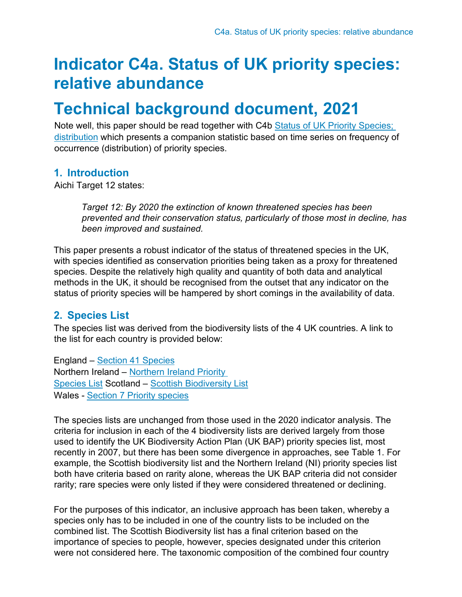## **Indicator C4a. Status of UK priority species: relative abundance**

## **Technical background document, 2021**

Note well, this paper should be read together with C4b Status of UK Priority Species; [distribution](https://jncc.gov.uk/ukbi-C4b) which presents a companion statistic based on time series on frequency of occurrence (distribution) of priority species.

## **1. Introduction**

Aichi Target 12 states:

*Target 12: By 2020 the extinction of known threatened species has been prevented and their conservation status, particularly of those most in decline, has been improved and sustained.*

This paper presents a robust indicator of the status of threatened species in the UK, with species identified as conservation priorities being taken as a proxy for threatened species. Despite the relatively high quality and quantity of both data and analytical methods in the UK, it should be recognised from the outset that any indicator on the status of priority species will be hampered by short comings in the availability of data.

## **2. Species List**

The species list was derived from the biodiversity lists of the 4 UK countries. A link to the list for each country is provided below:

England – [Section 41 Species](http://publications.naturalengland.org.uk/publication/4958719460769792) Northern Ireland – [Northern Ireland Priority](https://www.daera-ni.gov.uk/publications/list-northern-ireland-priority-species)  [Species List](https://www.daera-ni.gov.uk/publications/list-northern-ireland-priority-species) Scotland – [Scottish Biodiversity List](https://www.nature.scot/scotlands-biodiversity/scottish-biodiversity-strategy/scottish-biodiversity-list) Wales - [Section 7 Priority species](https://www.biodiversitywales.org.uk/Environment-Wales-Bill)

The species lists are unchanged from those used in the 2020 indicator analysis. The criteria for inclusion in each of the 4 biodiversity lists are derived largely from those used to identify the UK Biodiversity Action Plan (UK BAP) priority species list, most recently in 2007, but there has been some divergence in approaches, see Table 1. For example, the Scottish biodiversity list and the Northern Ireland (NI) priority species list both have criteria based on rarity alone, whereas the UK BAP criteria did not consider rarity; rare species were only listed if they were considered threatened or declining.

For the purposes of this indicator, an inclusive approach has been taken, whereby a species only has to be included in one of the country lists to be included on the combined list. The Scottish Biodiversity list has a final criterion based on the importance of species to people, however, species designated under this criterion were not considered here. The taxonomic composition of the combined four country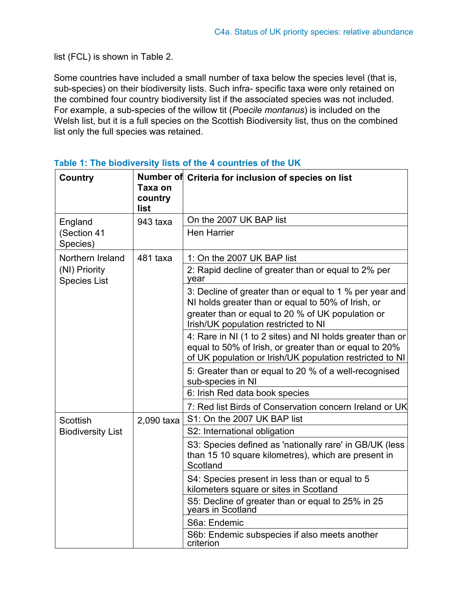list (FCL) is shown in Table 2.

Some countries have included a small number of taxa below the species level (that is, sub-species) on their biodiversity lists. Such infra- specific taxa were only retained on the combined four country biodiversity list if the associated species was not included. For example, a sub-species of the willow tit (*Poecile montanus*) is included on the Welsh list, but it is a full species on the Scottish Biodiversity list, thus on the combined list only the full species was retained.

| <b>Country</b>                       | Taxa on<br>country<br>list | Number of Criteria for inclusion of species on list                                                                                                                             |
|--------------------------------------|----------------------------|---------------------------------------------------------------------------------------------------------------------------------------------------------------------------------|
| England                              | 943 taxa                   | On the 2007 UK BAP list                                                                                                                                                         |
| (Section 41<br>Species)              |                            | <b>Hen Harrier</b>                                                                                                                                                              |
| Northern Ireland                     | 481 taxa                   | 1: On the 2007 UK BAP list                                                                                                                                                      |
| (NI) Priority<br><b>Species List</b> |                            | 2: Rapid decline of greater than or equal to 2% per<br>year                                                                                                                     |
|                                      |                            | 3: Decline of greater than or equal to 1 % per year and<br>NI holds greater than or equal to 50% of Irish, or                                                                   |
|                                      |                            | greater than or equal to 20 % of UK population or<br>Irish/UK population restricted to NI                                                                                       |
|                                      |                            | 4: Rare in NI (1 to 2 sites) and NI holds greater than or<br>equal to 50% of Irish, or greater than or equal to 20%<br>of UK population or Irish/UK population restricted to NI |
|                                      |                            | 5: Greater than or equal to 20 % of a well-recognised<br>sub-species in NI                                                                                                      |
|                                      |                            | 6: Irish Red data book species                                                                                                                                                  |
| <b>Scottish</b>                      | 2,090 taxa                 | 7: Red list Birds of Conservation concern Ireland or UK<br>S1: On the 2007 UK BAP list                                                                                          |
| <b>Biodiversity List</b>             |                            | S2: International obligation                                                                                                                                                    |
|                                      |                            | S3: Species defined as 'nationally rare' in GB/UK (less<br>than 15 10 square kilometres), which are present in<br>Scotland                                                      |
|                                      |                            | S4: Species present in less than or equal to 5<br>kilometers square or sites in Scotland                                                                                        |
|                                      |                            | S5: Decline of greater than or equal to 25% in 25<br>years in Scotland                                                                                                          |
|                                      |                            | S6a: Endemic                                                                                                                                                                    |
|                                      |                            | S6b: Endemic subspecies if also meets another<br>criterion                                                                                                                      |

**Table 1: The biodiversity lists of the 4 countries of the UK**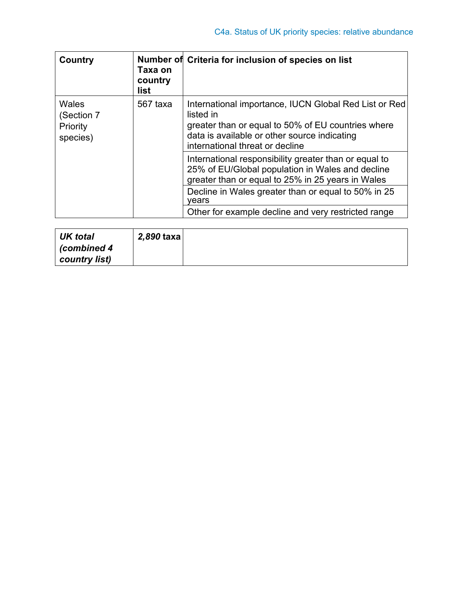| Country                                     | Taxa on<br>country<br>list | Number of Criteria for inclusion of species on list                                                                                                                                                         |
|---------------------------------------------|----------------------------|-------------------------------------------------------------------------------------------------------------------------------------------------------------------------------------------------------------|
| Wales<br>(Section 7<br>Priority<br>species) | 567 taxa                   | International importance, IUCN Global Red List or Red<br>listed in<br>greater than or equal to 50% of EU countries where<br>data is available or other source indicating<br>international threat or decline |
|                                             |                            | International responsibility greater than or equal to<br>25% of EU/Global population in Wales and decline<br>greater than or equal to 25% in 25 years in Wales                                              |
|                                             |                            | Decline in Wales greater than or equal to 50% in 25<br>vears                                                                                                                                                |
|                                             |                            | Other for example decline and very restricted range                                                                                                                                                         |

| <b>UK</b> total | 2,890 taxa |  |
|-----------------|------------|--|
| (combined 4     |            |  |
| country list)   |            |  |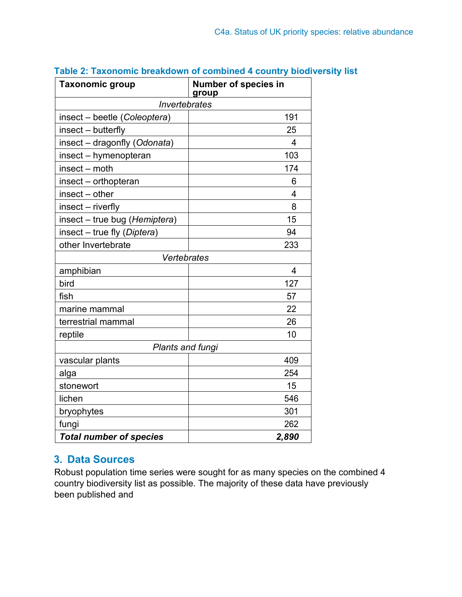| <b>Taxonomic group</b>         | <b>Number of species in</b><br>group |
|--------------------------------|--------------------------------------|
| Invertebrates                  |                                      |
| insect - beetle (Coleoptera)   | 191                                  |
| insect – butterfly             | 25                                   |
| insect - dragonfly (Odonata)   | 4                                    |
| insect - hymenopteran          | 103                                  |
| insect – moth                  | 174                                  |
| insect - orthopteran           | 6                                    |
| $insect - other$               | 4                                    |
| insect - riverfly              | 8                                    |
| insect - true bug (Hemiptera)  | 15                                   |
| insect – true fly (Diptera)    | 94                                   |
| other Invertebrate             | 233                                  |
| <b>Vertebrates</b>             |                                      |
| amphibian                      | $\overline{\mathbf{4}}$              |
| bird                           | 127                                  |
| fish                           | 57                                   |
| marine mammal                  | 22                                   |
| terrestrial mammal             | 26                                   |
| reptile                        | 10                                   |
| Plants and fungi               |                                      |
| vascular plants                | 409                                  |
| alga                           | 254                                  |
| stonewort                      | 15                                   |
| lichen                         | 546                                  |
| bryophytes                     | 301                                  |
| fungi                          | 262                                  |
| <b>Total number of species</b> | 2,890                                |

### **Table 2: Taxonomic breakdown of combined 4 country biodiversity list**

## **3. Data Sources**

Robust population time series were sought for as many species on the combined 4 country biodiversity list as possible. The majority of these data have previously been published and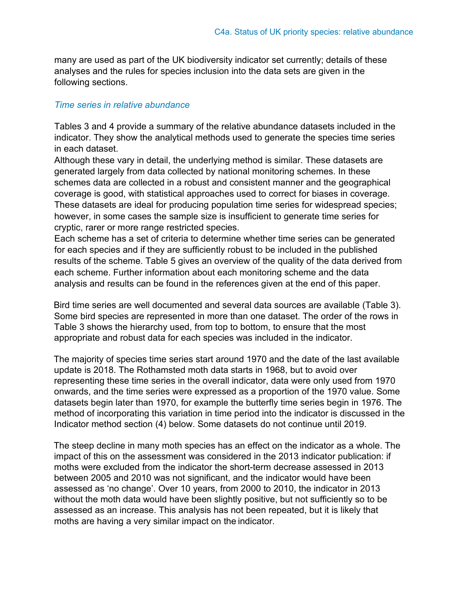many are used as part of the UK biodiversity indicator set currently; details of these analyses and the rules for species inclusion into the data sets are given in the following sections.

#### *Time series in relative abundance*

Tables 3 and 4 provide a summary of the relative abundance datasets included in the indicator. They show the analytical methods used to generate the species time series in each dataset.

Although these vary in detail, the underlying method is similar. These datasets are generated largely from data collected by national monitoring schemes. In these schemes data are collected in a robust and consistent manner and the geographical coverage is good, with statistical approaches used to correct for biases in coverage. These datasets are ideal for producing population time series for widespread species; however, in some cases the sample size is insufficient to generate time series for cryptic, rarer or more range restricted species.

Each scheme has a set of criteria to determine whether time series can be generated for each species and if they are sufficiently robust to be included in the published results of the scheme. Table 5 gives an overview of the quality of the data derived from each scheme. Further information about each monitoring scheme and the data analysis and results can be found in the references given at the end of this paper.

Bird time series are well documented and several data sources are available (Table 3). Some bird species are represented in more than one dataset. The order of the rows in Table 3 shows the hierarchy used, from top to bottom, to ensure that the most appropriate and robust data for each species was included in the indicator.

The majority of species time series start around 1970 and the date of the last available update is 2018. The Rothamsted moth data starts in 1968, but to avoid over representing these time series in the overall indicator, data were only used from 1970 onwards, and the time series were expressed as a proportion of the 1970 value. Some datasets begin later than 1970, for example the butterfly time series begin in 1976. The method of incorporating this variation in time period into the indicator is discussed in the Indicator method section (4) below. Some datasets do not continue until 2019.

The steep decline in many moth species has an effect on the indicator as a whole. The impact of this on the assessment was considered in the 2013 indicator publication: if moths were excluded from the indicator the short-term decrease assessed in 2013 between 2005 and 2010 was not significant, and the indicator would have been assessed as 'no change'. Over 10 years, from 2000 to 2010, the indicator in 2013 without the moth data would have been slightly positive, but not sufficiently so to be assessed as an increase. This analysis has not been repeated, but it is likely that moths are having a very similar impact on the indicator.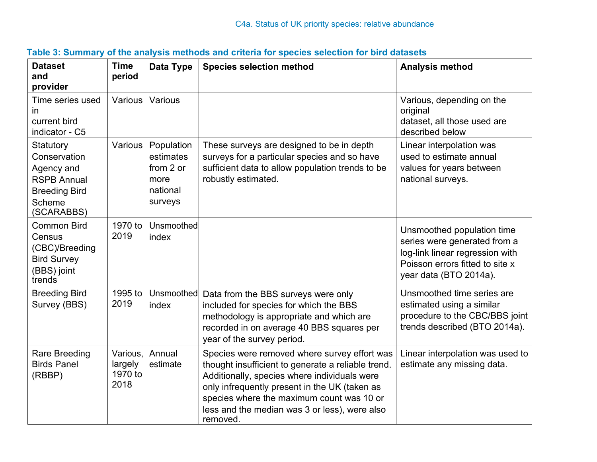| <b>Dataset</b><br>and<br>provider                                                                             | <b>Time</b><br>period                  | Data Type                                                           | <b>Species selection method</b>                                                                                                                                                                                                                                                                               | <b>Analysis method</b>                                                                                                                                     |
|---------------------------------------------------------------------------------------------------------------|----------------------------------------|---------------------------------------------------------------------|---------------------------------------------------------------------------------------------------------------------------------------------------------------------------------------------------------------------------------------------------------------------------------------------------------------|------------------------------------------------------------------------------------------------------------------------------------------------------------|
| Time series used<br><i>in</i><br>current bird<br>indicator - C5                                               | Various                                | Various                                                             |                                                                                                                                                                                                                                                                                                               | Various, depending on the<br>original<br>dataset, all those used are<br>described below                                                                    |
| Statutory<br>Conservation<br>Agency and<br><b>RSPB Annual</b><br><b>Breeding Bird</b><br>Scheme<br>(SCARABBS) | Various                                | Population<br>estimates<br>from 2 or<br>more<br>national<br>surveys | These surveys are designed to be in depth<br>surveys for a particular species and so have<br>sufficient data to allow population trends to be<br>robustly estimated.                                                                                                                                          | Linear interpolation was<br>used to estimate annual<br>values for years between<br>national surveys.                                                       |
| <b>Common Bird</b><br>Census<br>(CBC)/Breeding<br><b>Bird Survey</b><br>(BBS) joint<br>trends                 | 1970 to<br>2019                        | Unsmoothed<br>index                                                 |                                                                                                                                                                                                                                                                                                               | Unsmoothed population time<br>series were generated from a<br>log-link linear regression with<br>Poisson errors fitted to site x<br>year data (BTO 2014a). |
| <b>Breeding Bird</b><br>Survey (BBS)                                                                          | 1995 to<br>2019                        | Unsmoothed<br>index                                                 | Data from the BBS surveys were only<br>included for species for which the BBS<br>methodology is appropriate and which are<br>recorded in on average 40 BBS squares per<br>year of the survey period.                                                                                                          | Unsmoothed time series are<br>estimated using a similar<br>procedure to the CBC/BBS joint<br>trends described (BTO 2014a).                                 |
| <b>Rare Breeding</b><br><b>Birds Panel</b><br>(RBBP)                                                          | Various,<br>largely<br>1970 to<br>2018 | Annual<br>estimate                                                  | Species were removed where survey effort was<br>thought insufficient to generate a reliable trend.<br>Additionally, species where individuals were<br>only infrequently present in the UK (taken as<br>species where the maximum count was 10 or<br>less and the median was 3 or less), were also<br>removed. | Linear interpolation was used to<br>estimate any missing data.                                                                                             |

## **Table 3: Summary of the analysis methods and criteria for species selection for bird datasets**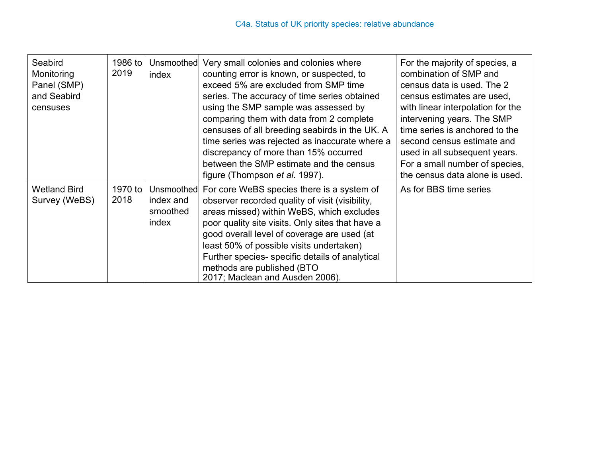| Seabird<br>Monitoring<br>Panel (SMP)<br>and Seabird<br>censuses | 1986 to<br>2019 | Unsmoothed<br>index            | Very small colonies and colonies where<br>counting error is known, or suspected, to<br>exceed 5% are excluded from SMP time<br>series. The accuracy of time series obtained<br>using the SMP sample was assessed by<br>comparing them with data from 2 complete<br>censuses of all breeding seabirds in the UK. A<br>time series was rejected as inaccurate where a<br>discrepancy of more than 15% occurred<br>between the SMP estimate and the census<br>figure (Thompson <i>et al.</i> 1997). | For the majority of species, a<br>combination of SMP and<br>census data is used. The 2<br>census estimates are used.<br>with linear interpolation for the<br>intervening years. The SMP<br>time series is anchored to the<br>second census estimate and<br>used in all subsequent years.<br>For a small number of species,<br>the census data alone is used. |
|-----------------------------------------------------------------|-----------------|--------------------------------|--------------------------------------------------------------------------------------------------------------------------------------------------------------------------------------------------------------------------------------------------------------------------------------------------------------------------------------------------------------------------------------------------------------------------------------------------------------------------------------------------|--------------------------------------------------------------------------------------------------------------------------------------------------------------------------------------------------------------------------------------------------------------------------------------------------------------------------------------------------------------|
| <b>Wetland Bird</b><br>Survey (WeBS)                            | 1970 to<br>2018 | index and<br>smoothed<br>index | Unsmoothed For core WeBS species there is a system of<br>observer recorded quality of visit (visibility,<br>areas missed) within WeBS, which excludes<br>poor quality site visits. Only sites that have a<br>good overall level of coverage are used (at<br>least 50% of possible visits undertaken)<br>Further species- specific details of analytical<br>methods are published (BTO<br>2017; Maclean and Ausden 2006).                                                                         | As for BBS time series                                                                                                                                                                                                                                                                                                                                       |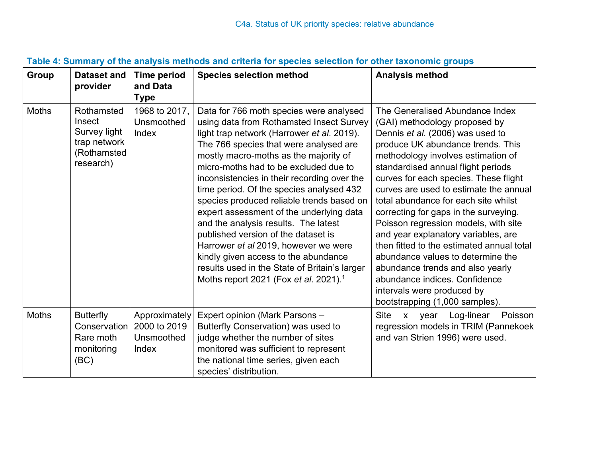| Group        | <b>Dataset and</b><br>provider                                                   | <b>Time period</b><br>and Data<br><b>Type</b>        | <b>Species selection method</b>                                                                                                                                                                                                                                                                                                                                                                                                                                                                                                                                                                                                                                                                                        | <b>Analysis method</b>                                                                                                                                                                                                                                                                                                                                                                                                                                                                                                                                                                                                                                                                          |
|--------------|----------------------------------------------------------------------------------|------------------------------------------------------|------------------------------------------------------------------------------------------------------------------------------------------------------------------------------------------------------------------------------------------------------------------------------------------------------------------------------------------------------------------------------------------------------------------------------------------------------------------------------------------------------------------------------------------------------------------------------------------------------------------------------------------------------------------------------------------------------------------------|-------------------------------------------------------------------------------------------------------------------------------------------------------------------------------------------------------------------------------------------------------------------------------------------------------------------------------------------------------------------------------------------------------------------------------------------------------------------------------------------------------------------------------------------------------------------------------------------------------------------------------------------------------------------------------------------------|
| <b>Moths</b> | Rothamsted<br>Insect<br>Survey light<br>trap network<br>(Rothamsted<br>research) | 1968 to 2017,<br>Unsmoothed<br>Index                 | Data for 766 moth species were analysed<br>using data from Rothamsted Insect Survey<br>light trap network (Harrower et al. 2019).<br>The 766 species that were analysed are<br>mostly macro-moths as the majority of<br>micro-moths had to be excluded due to<br>inconsistencies in their recording over the<br>time period. Of the species analysed 432<br>species produced reliable trends based on<br>expert assessment of the underlying data<br>and the analysis results. The latest<br>published version of the dataset is<br>Harrower et al 2019, however we were<br>kindly given access to the abundance<br>results used in the State of Britain's larger<br>Moths report 2021 (Fox et al. 2021). <sup>1</sup> | The Generalised Abundance Index<br>(GAI) methodology proposed by<br>Dennis et al. (2006) was used to<br>produce UK abundance trends. This<br>methodology involves estimation of<br>standardised annual flight periods<br>curves for each species. These flight<br>curves are used to estimate the annual<br>total abundance for each site whilst<br>correcting for gaps in the surveying.<br>Poisson regression models, with site<br>and year explanatory variables, are<br>then fitted to the estimated annual total<br>abundance values to determine the<br>abundance trends and also yearly<br>abundance indices. Confidence<br>intervals were produced by<br>bootstrapping (1,000 samples). |
| <b>Moths</b> | <b>Butterfly</b><br>Conservation<br>Rare moth<br>monitoring<br>(BC)              | Approximately<br>2000 to 2019<br>Unsmoothed<br>Index | Expert opinion (Mark Parsons -<br>Butterfly Conservation) was used to<br>judge whether the number of sites<br>monitored was sufficient to represent<br>the national time series, given each<br>species' distribution.                                                                                                                                                                                                                                                                                                                                                                                                                                                                                                  | Log-linear<br><b>Site</b><br>Poisson<br>year<br>$\mathsf{X}$<br>regression models in TRIM (Pannekoek)<br>and van Strien 1996) were used.                                                                                                                                                                                                                                                                                                                                                                                                                                                                                                                                                        |

## **Table 4: Summary of the analysis methods and criteria for species selection for other taxonomic groups**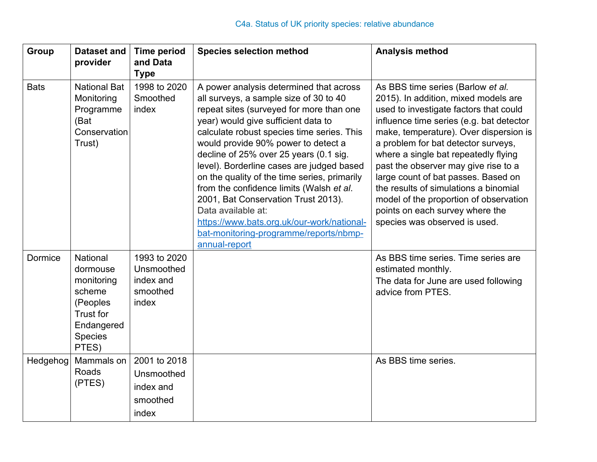| Group       | <b>Dataset and</b><br>provider                                                                          | <b>Time period</b><br>and Data<br><b>Type</b>                | <b>Species selection method</b>                                                                                                                                                                                                                                                                                                                                                                                                                                                                                                                                                                                    | <b>Analysis method</b>                                                                                                                                                                                                                                                                                                                                                                                                                                                                                                         |
|-------------|---------------------------------------------------------------------------------------------------------|--------------------------------------------------------------|--------------------------------------------------------------------------------------------------------------------------------------------------------------------------------------------------------------------------------------------------------------------------------------------------------------------------------------------------------------------------------------------------------------------------------------------------------------------------------------------------------------------------------------------------------------------------------------------------------------------|--------------------------------------------------------------------------------------------------------------------------------------------------------------------------------------------------------------------------------------------------------------------------------------------------------------------------------------------------------------------------------------------------------------------------------------------------------------------------------------------------------------------------------|
| <b>Bats</b> | <b>National Bat</b><br>Monitoring<br>Programme<br>(Bat<br>Conservation<br>Trust)                        | 1998 to 2020<br>Smoothed<br>index                            | A power analysis determined that across<br>all surveys, a sample size of 30 to 40<br>repeat sites (surveyed for more than one<br>year) would give sufficient data to<br>calculate robust species time series. This<br>would provide 90% power to detect a<br>decline of 25% over 25 years (0.1 sig.<br>level). Borderline cases are judged based<br>on the quality of the time series, primarily<br>from the confidence limits (Walsh et al.<br>2001, Bat Conservation Trust 2013).<br>Data available at:<br>https://www.bats.org.uk/our-work/national-<br>bat-monitoring-programme/reports/nbmp-<br>annual-report | As BBS time series (Barlow et al.<br>2015). In addition, mixed models are<br>used to investigate factors that could<br>influence time series (e.g. bat detector<br>make, temperature). Over dispersion is<br>a problem for bat detector surveys,<br>where a single bat repeatedly flying<br>past the observer may give rise to a<br>large count of bat passes. Based on<br>the results of simulations a binomial<br>model of the proportion of observation<br>points on each survey where the<br>species was observed is used. |
| Dormice     | National<br>dormouse<br>monitoring<br>scheme<br>(Peoples<br>Trust for<br>Endangered<br>Species<br>PTES) | 1993 to 2020<br>Unsmoothed<br>index and<br>smoothed<br>index |                                                                                                                                                                                                                                                                                                                                                                                                                                                                                                                                                                                                                    | As BBS time series. Time series are<br>estimated monthly.<br>The data for June are used following<br>advice from PTES.                                                                                                                                                                                                                                                                                                                                                                                                         |
| Hedgehog    | Mammals on<br>Roads<br>(PTES)                                                                           | 2001 to 2018<br>Unsmoothed<br>index and<br>smoothed<br>index |                                                                                                                                                                                                                                                                                                                                                                                                                                                                                                                                                                                                                    | As BBS time series.                                                                                                                                                                                                                                                                                                                                                                                                                                                                                                            |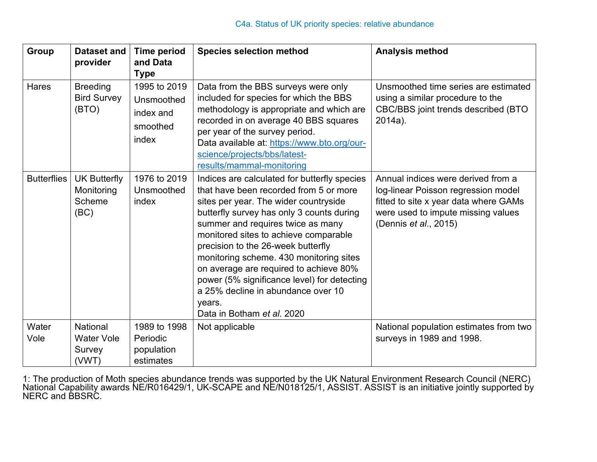| Group              | <b>Dataset and</b><br>provider                          | <b>Time period</b><br>and Data<br><b>Type</b>                | <b>Species selection method</b>                                                                                                                                                                                                                                                                                                                                                                                                                                                                                    | <b>Analysis method</b>                                                                                                                                                            |
|--------------------|---------------------------------------------------------|--------------------------------------------------------------|--------------------------------------------------------------------------------------------------------------------------------------------------------------------------------------------------------------------------------------------------------------------------------------------------------------------------------------------------------------------------------------------------------------------------------------------------------------------------------------------------------------------|-----------------------------------------------------------------------------------------------------------------------------------------------------------------------------------|
| <b>Hares</b>       | <b>Breeding</b><br><b>Bird Survey</b><br>(BTO)          | 1995 to 2019<br>Unsmoothed<br>index and<br>smoothed<br>index | Data from the BBS surveys were only<br>included for species for which the BBS<br>methodology is appropriate and which are<br>recorded in on average 40 BBS squares<br>per year of the survey period.<br>Data available at: https://www.bto.org/our-<br>science/projects/bbs/latest-<br>results/mammal-monitoring                                                                                                                                                                                                   | Unsmoothed time series are estimated<br>using a similar procedure to the<br>CBC/BBS joint trends described (BTO<br>$2014a$ ).                                                     |
| <b>Butterflies</b> | <b>UK Butterfly</b><br>Monitoring<br>Scheme<br>(BC)     | 1976 to 2019<br>Unsmoothed<br>index                          | Indices are calculated for butterfly species<br>that have been recorded from 5 or more<br>sites per year. The wider countryside<br>butterfly survey has only 3 counts during<br>summer and requires twice as many<br>monitored sites to achieve comparable<br>precision to the 26-week butterfly<br>monitoring scheme. 430 monitoring sites<br>on average are required to achieve 80%<br>power (5% significance level) for detecting<br>a 25% decline in abundance over 10<br>years.<br>Data in Botham et al. 2020 | Annual indices were derived from a<br>log-linear Poisson regression model<br>fitted to site x year data where GAMs<br>were used to impute missing values<br>(Dennis et al., 2015) |
| Water<br>Vole      | <b>National</b><br><b>Water Vole</b><br>Survey<br>(VWT) | 1989 to 1998<br>Periodic<br>population<br>estimates          | Not applicable                                                                                                                                                                                                                                                                                                                                                                                                                                                                                                     | National population estimates from two<br>surveys in 1989 and 1998.                                                                                                               |

1: The production of Moth species abundance trends was supported by the UK Natural Environment Research Council (NERC) National Capability awards NE/R016429/1, UK-SCAPE and NE/N018125/1, ASSIST. ASSIST is an initiative jointly supported by NERC and BBSRC.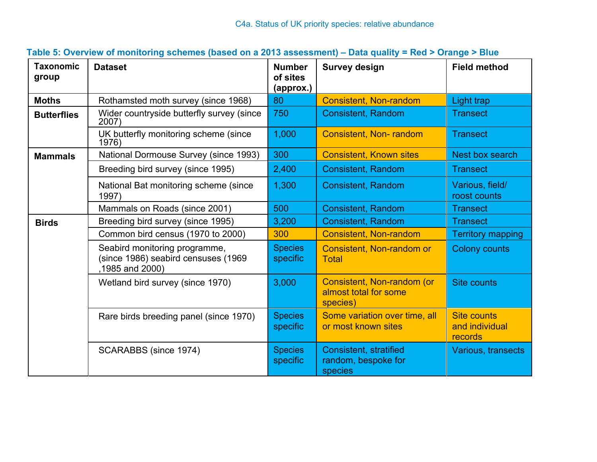| <b>Taxonomic</b><br>group | <b>Dataset</b>                                                                         | <b>Number</b><br>of sites<br>(approx.) | <b>Survey design</b>                                            | <b>Field method</b>                             |
|---------------------------|----------------------------------------------------------------------------------------|----------------------------------------|-----------------------------------------------------------------|-------------------------------------------------|
| <b>Moths</b>              | Rothamsted moth survey (since 1968)                                                    | 80                                     | <b>Consistent, Non-random</b>                                   | Light trap                                      |
| <b>Butterflies</b>        | Wider countryside butterfly survey (since<br>2007)                                     | 750                                    | <b>Consistent, Random</b>                                       | <b>Transect</b>                                 |
|                           | UK butterfly monitoring scheme (since<br>1976)                                         | 1,000                                  | <b>Consistent, Non-random</b>                                   | <b>Transect</b>                                 |
| <b>Mammals</b>            | National Dormouse Survey (since 1993)                                                  | 300                                    | <b>Consistent, Known sites</b>                                  | Nest box search                                 |
|                           | Breeding bird survey (since 1995)                                                      | 2,400                                  | <b>Consistent, Random</b>                                       | <b>Transect</b>                                 |
|                           | National Bat monitoring scheme (since<br>1997)                                         | 1,300                                  | <b>Consistent, Random</b>                                       | Various, field/<br>roost counts                 |
|                           | Mammals on Roads (since 2001)                                                          | 500                                    | <b>Consistent, Random</b>                                       | <b>Transect</b>                                 |
| <b>Birds</b>              | Breeding bird survey (since 1995)                                                      | 3,200                                  | <b>Consistent, Random</b>                                       | <b>Transect</b>                                 |
|                           | Common bird census (1970 to 2000)                                                      | 300                                    | <b>Consistent, Non-random</b>                                   | <b>Territory mapping</b>                        |
|                           | Seabird monitoring programme,<br>(since 1986) seabird censuses (1969<br>1985 and 2000) | <b>Species</b><br>specific             | <b>Consistent, Non-random or</b><br><b>Total</b>                | <b>Colony counts</b>                            |
|                           | Wetland bird survey (since 1970)                                                       | 3,000                                  | Consistent, Non-random (or<br>almost total for some<br>species) | <b>Site counts</b>                              |
|                           | Rare birds breeding panel (since 1970)                                                 | <b>Species</b><br>specific             | Some variation over time, all<br>or most known sites            | <b>Site counts</b><br>and individual<br>records |
|                           | SCARABBS (since 1974)                                                                  | <b>Species</b><br>specific             | <b>Consistent, stratified</b><br>random, bespoke for<br>species | Various, transects                              |

## **Table 5: Overview of monitoring schemes (based on a 2013 assessment) – Data quality = Red > Orange > Blue**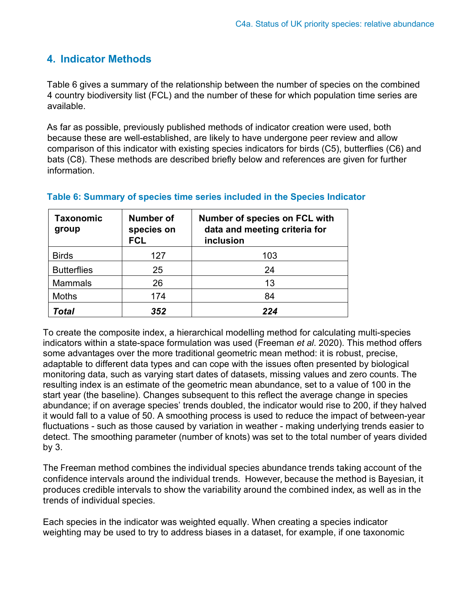## **4. Indicator Methods**

Table 6 gives a summary of the relationship between the number of species on the combined 4 country biodiversity list (FCL) and the number of these for which population time series are available.

As far as possible, previously published methods of indicator creation were used, both because these are well-established, are likely to have undergone peer review and allow comparison of this indicator with existing species indicators for birds (C5), butterflies (C6) and bats (C8). These methods are described briefly below and references are given for further information.

| Taxonomic<br>group | <b>Number of</b><br>species on<br><b>FCL</b> | <b>Number of species on FCL with</b><br>data and meeting criteria for<br>inclusion |
|--------------------|----------------------------------------------|------------------------------------------------------------------------------------|
| <b>Birds</b>       | 127                                          | 103                                                                                |
| <b>Butterflies</b> | 25                                           | 24                                                                                 |
| <b>Mammals</b>     | 26                                           | 13                                                                                 |
| <b>Moths</b>       | 174                                          | 84                                                                                 |
| Total              | 352                                          | 224                                                                                |

#### **Table 6: Summary of species time series included in the Species Indicator**

To create the composite index, a hierarchical modelling method for calculating multi-species indicators within a state-space formulation was used (Freeman *et al*. 2020). This method offers some advantages over the more traditional geometric mean method: it is robust, precise, adaptable to different data types and can cope with the issues often presented by biological monitoring data, such as varying start dates of datasets, missing values and zero counts. The resulting index is an estimate of the geometric mean abundance, set to a value of 100 in the start year (the baseline). Changes subsequent to this reflect the average change in species abundance; if on average species' trends doubled, the indicator would rise to 200, if they halved it would fall to a value of 50. A smoothing process is used to reduce the impact of between-year fluctuations - such as those caused by variation in weather - making underlying trends easier to detect. The smoothing parameter (number of knots) was set to the total number of years divided by 3.

The Freeman method combines the individual species abundance trends taking account of the confidence intervals around the individual trends. However, because the method is Bayesian, it produces credible intervals to show the variability around the combined index, as well as in the trends of individual species.

Each species in the indicator was weighted equally. When creating a species indicator weighting may be used to try to address biases in a dataset, for example, if one taxonomic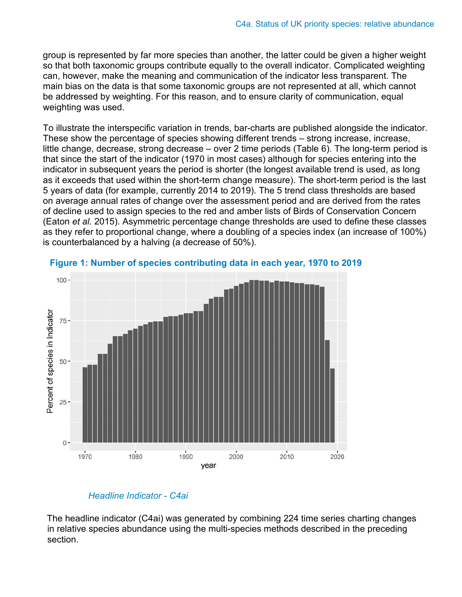group is represented by far more species than another, the latter could be given a higher weight so that both taxonomic groups contribute equally to the overall indicator. Complicated weighting can, however, make the meaning and communication of the indicator less transparent. The main bias on the data is that some taxonomic groups are not represented at all, which cannot be addressed by weighting. For this reason, and to ensure clarity of communication, equal weighting was used.

To illustrate the interspecific variation in trends, bar-charts are published alongside the indicator. These show the percentage of species showing different trends – strong increase, increase, little change, decrease, strong decrease – over 2 time periods (Table 6). The long-term period is that since the start of the indicator (1970 in most cases) although for species entering into the indicator in subsequent years the period is shorter (the longest available trend is used, as long as it exceeds that used within the short-term change measure). The short-term period is the last 5 years of data (for example, currently 2014 to 2019). The 5 trend class thresholds are based on average annual rates of change over the assessment period and are derived from the rates of decline used to assign species to the red and amber lists of Birds of Conservation Concern (Eaton *et al.* 2015). Asymmetric percentage change thresholds are used to define these classes as they refer to proportional change, where a doubling of a species index (an increase of 100%) is counterbalanced by a halving (a decrease of 50%).



**Figure 1: Number of species contributing data in each year, 1970 to 2019**

#### *Headline Indicator - C4ai*

The headline indicator (C4ai) was generated by combining 224 time series charting changes in relative species abundance using the multi-species methods described in the preceding section.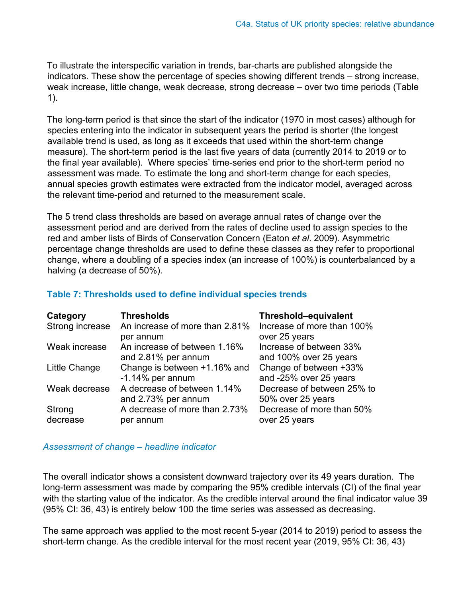To illustrate the interspecific variation in trends, bar-charts are published alongside the indicators. These show the percentage of species showing different trends – strong increase, weak increase, little change, weak decrease, strong decrease – over two time periods (Table 1).

The long-term period is that since the start of the indicator (1970 in most cases) although for species entering into the indicator in subsequent years the period is shorter (the longest available trend is used, as long as it exceeds that used within the short-term change measure). The short-term period is the last five years of data (currently 2014 to 2019 or to the final year available). Where species' time-series end prior to the short-term period no assessment was made. To estimate the long and short-term change for each species, annual species growth estimates were extracted from the indicator model, averaged across the relevant time-period and returned to the measurement scale.

The 5 trend class thresholds are based on average annual rates of change over the assessment period and are derived from the rates of decline used to assign species to the red and amber lists of Birds of Conservation Concern (Eaton *et al*. 2009). Asymmetric percentage change thresholds are used to define these classes as they refer to proportional change, where a doubling of a species index (an increase of 100%) is counterbalanced by a halving (a decrease of 50%).

### **Table 7: Thresholds used to define individual species trends**

| Category<br>Strong increase | <b>Thresholds</b><br>An increase of more than 2.81%<br>per annum | Threshold-equivalent<br>Increase of more than 100%<br>over 25 years |
|-----------------------------|------------------------------------------------------------------|---------------------------------------------------------------------|
| Weak increase               | An increase of between 1.16%<br>and 2.81% per annum              | Increase of between 33%<br>and 100% over 25 years                   |
| Little Change               | Change is between +1.16% and<br>$-1.14\%$ per annum              | Change of between +33%<br>and -25% over 25 years                    |
| Weak decrease               | A decrease of between 1.14%<br>and 2.73% per annum               | Decrease of between 25% to<br>50% over 25 years                     |
| Strong<br>decrease          | A decrease of more than 2.73%<br>per annum                       | Decrease of more than 50%<br>over 25 years                          |

#### *Assessment of change – headline indicator*

The overall indicator shows a consistent downward trajectory over its 49 years duration. The long-term assessment was made by comparing the 95% credible intervals (CI) of the final year with the starting value of the indicator. As the credible interval around the final indicator value 39 (95% CI: 36, 43) is entirely below 100 the time series was assessed as decreasing.

The same approach was applied to the most recent 5-year (2014 to 2019) period to assess the short-term change. As the credible interval for the most recent year (2019, 95% CI: 36, 43)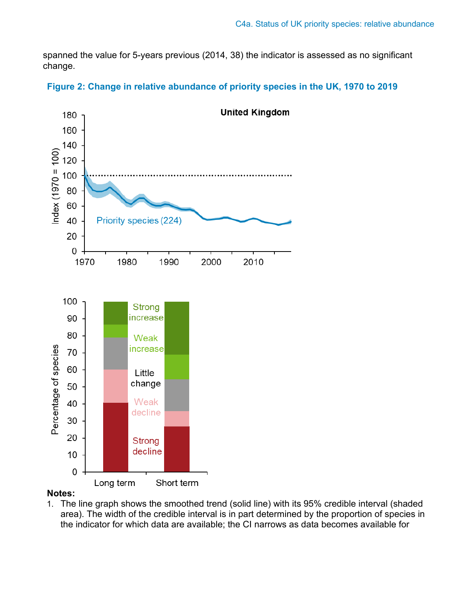spanned the value for 5-years previous (2014, 38) the indicator is assessed as no significant change.





#### **Notes:**

1. The line graph shows the smoothed trend (solid line) with its 95% credible interval (shaded area). The width of the credible interval is in part determined by the proportion of species in the indicator for which data are available; the CI narrows as data becomes available for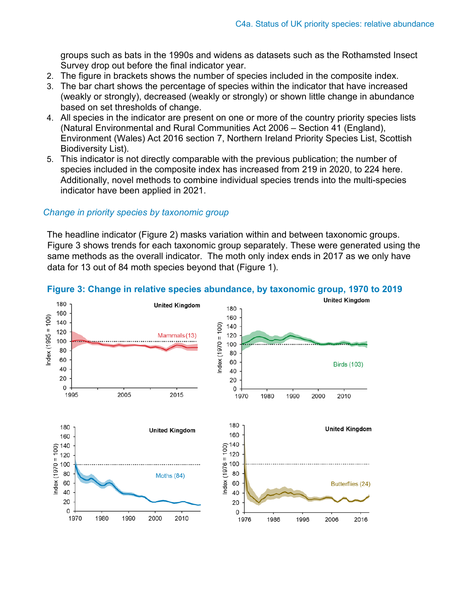groups such as bats in the 1990s and widens as datasets such as the Rothamsted Insect Survey drop out before the final indicator year.

- 2. The figure in brackets shows the number of species included in the composite index.
- 3. The bar chart shows the percentage of species within the indicator that have increased (weakly or strongly), decreased (weakly or strongly) or shown little change in abundance based on set thresholds of change.
- 4. All species in the indicator are present on one or more of the country priority species lists (Natural Environmental and Rural Communities Act 2006 – Section 41 (England), Environment (Wales) Act 2016 section 7, Northern Ireland Priority Species List, Scottish Biodiversity List).
- 5. This indicator is not directly comparable with the previous publication; the number of species included in the composite index has increased from 219 in 2020, to 224 here. Additionally, novel methods to combine individual species trends into the multi-species indicator have been applied in 2021.

#### *Change in priority species by taxonomic group*

The headline indicator (Figure 2) masks variation within and between taxonomic groups. Figure 3 shows trends for each taxonomic group separately. These were generated using the same methods as the overall indicator. The moth only index ends in 2017 as we only have data for 13 out of 84 moth species beyond that (Figure 1).



#### **Figure 3: Change in relative species abundance, by taxonomic group, 1970 to 2019**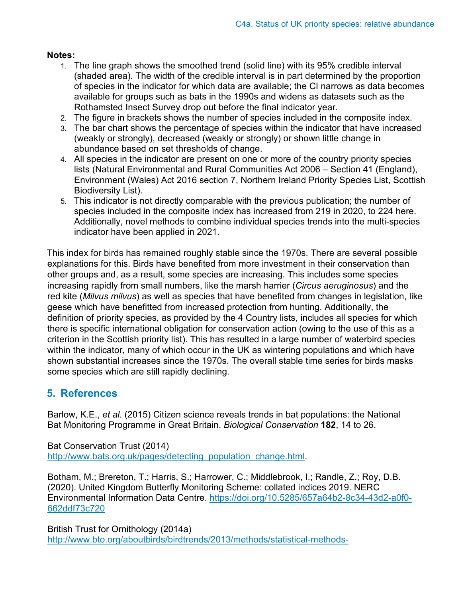### **Notes:**

- 1. The line graph shows the smoothed trend (solid line) with its 95% credible interval (shaded area). The width of the credible interval is in part determined by the proportion of species in the indicator for which data are available; the CI narrows as data becomes available for groups such as bats in the 1990s and widens as datasets such as the Rothamsted Insect Survey drop out before the final indicator year.
- 2. The figure in brackets shows the number of species included in the composite index.
- 3. The bar chart shows the percentage of species within the indicator that have increased (weakly or strongly), decreased (weakly or strongly) or shown little change in abundance based on set thresholds of change.
- 4. All species in the indicator are present on one or more of the country priority species lists (Natural Environmental and Rural Communities Act 2006 – Section 41 (England), Environment (Wales) Act 2016 section 7, Northern Ireland Priority Species List, Scottish Biodiversity List).
- 5. This indicator is not directly comparable with the previous publication; the number of species included in the composite index has increased from 219 in 2020, to 224 here. Additionally, novel methods to combine individual species trends into the multi-species indicator have been applied in 2021.

This index for birds has remained roughly stable since the 1970s. There are several possible explanations for this. Birds have benefited from more investment in their conservation than other groups and, as a result, some species are increasing. This includes some species increasing rapidly from small numbers, like the marsh harrier (*Circus aeruginosus*) and the red kite (*Milvus milvus*) as well as species that have benefited from changes in legislation, like geese which have benefitted from increased protection from hunting. Additionally, the definition of priority species, as provided by the 4 Country lists, includes all species for which there is specific international obligation for conservation action (owing to the use of this as a criterion in the Scottish priority list). This has resulted in a large number of waterbird species within the indicator, many of which occur in the UK as wintering populations and which have shown substantial increases since the 1970s. The overall stable time series for birds masks some species which are still rapidly declining.

## **5. References**

Barlow, K.E., *et al*. (2015) Citizen science reveals trends in bat populations: the National Bat Monitoring Programme in Great Britain. *Biological Conservation* **182**, 14 to 26.

Bat Conservation Trust (2014) [http://www.bats.org.uk/pages/detecting\\_population\\_change.html.](http://www.bats.org.uk/pages/detecting_population_change.html)

Botham, M.; Brereton, T.; Harris, S.; Harrower, C.; Middlebrook, I.; Randle, Z.; Roy, D.B. (2020). United Kingdom Butterfly Monitoring Scheme: collated indices 2019. NERC Environmental Information Data Centre. [https://doi.org/10.5285/657a64b2-8c34-43d2-a0f0-](https://doi.org/10.5285/657a64b2-8c34-43d2-a0f0-662ddf73c720) [662ddf73c720](https://doi.org/10.5285/657a64b2-8c34-43d2-a0f0-662ddf73c720)

British Trust for Ornithology (2014a) [http://www.bto.org/aboutbirds/birdtrends/2013/methods/statistical-methods-](http://www.bto.org/about-birds/birdtrends/2013/methods/statistical-methods-alerts)